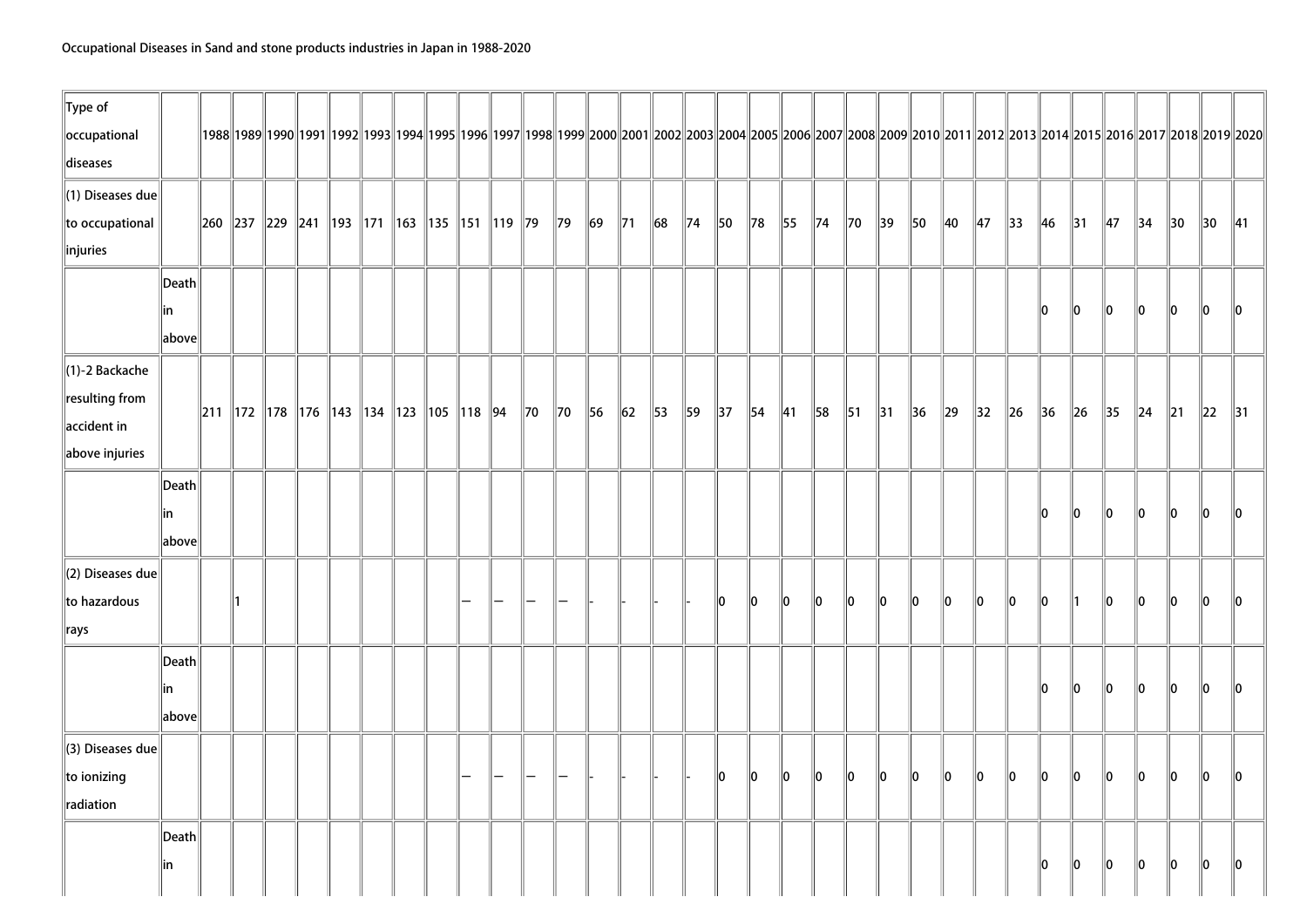| $\ $ Type of                 |                 |                                                          |  |  |  |  |                |                |          |                |    |                |                |                |                |                |                |                |                |          |                |                |                |                |                |                |                |                |                                                                                                                                                                                                      |
|------------------------------|-----------------|----------------------------------------------------------|--|--|--|--|----------------|----------------|----------|----------------|----|----------------|----------------|----------------|----------------|----------------|----------------|----------------|----------------|----------|----------------|----------------|----------------|----------------|----------------|----------------|----------------|----------------|------------------------------------------------------------------------------------------------------------------------------------------------------------------------------------------------------|
| occupational                 |                 |                                                          |  |  |  |  |                |                |          |                |    |                |                |                |                |                |                |                |                |          |                |                |                |                |                |                |                |                | 1988  1989  1990  1991  1992  1993  1994  1995  1996  1997  1998  1999  2000  2001  2002  2003  2004  2005  2006  2007  2008  2009  2010  2011  2012  2013  2014  2015  2016  2017  2018  2019  2020 |
| diseases                     |                 |                                                          |  |  |  |  |                |                |          |                |    |                |                |                |                |                |                |                |                |          |                |                |                |                |                |                |                |                |                                                                                                                                                                                                      |
| $\ $ (1) Diseases due        |                 |                                                          |  |  |  |  |                |                |          |                |    |                |                |                |                |                |                |                |                |          |                |                |                |                |                |                |                |                |                                                                                                                                                                                                      |
| to occupational              |                 | $\ 260\ 237\ 229\ 241\ 193\ 171\ 163\ 135\ 151\ 119\ 79$ |  |  |  |  |                | $\parallel$ 79 | $\ 69\ $ | $\parallel$ 71 | 68 | $\parallel$ 74 | $\parallel$ 50 | 78             | $\parallel$ 55 | $\parallel$ 74 | $\parallel$ 70 | $\parallel$ 39 | $\parallel$ 50 | 40       | $\parallel$ 47 | $\parallel$ 33 | $\ $ 46        | $\parallel$ 31 | $\parallel$ 47 | $\parallel$ 34 | $\parallel$ 30 | $\parallel$ 30 | $\parallel$ 41                                                                                                                                                                                       |
| $\ $ injuries                |                 |                                                          |  |  |  |  |                |                |          |                |    |                |                |                |                |                |                |                |                |          |                |                |                |                |                |                |                |                |                                                                                                                                                                                                      |
|                              | $\ $ Death $\ $ |                                                          |  |  |  |  |                |                |          |                |    |                |                |                |                |                |                |                |                |          |                |                |                |                |                |                |                |                |                                                                                                                                                                                                      |
|                              | in              |                                                          |  |  |  |  |                |                |          |                |    |                |                |                |                |                |                |                |                |          |                |                | 10             | 10             | 10             | 10             | 10             | 10             | 10                                                                                                                                                                                                   |
|                              | above           |                                                          |  |  |  |  |                |                |          |                |    |                |                |                |                |                |                |                |                |          |                |                |                |                |                |                |                |                |                                                                                                                                                                                                      |
| $\ $ (1)-2 Backache          |                 |                                                          |  |  |  |  |                |                |          |                |    |                |                |                |                |                |                |                |                |          |                |                |                |                |                |                |                |                |                                                                                                                                                                                                      |
| $\ $ resulting from          |                 | 211   172   178   176   143   134   123   105   118   94 |  |  |  |  | $\parallel$ 70 | $\parallel$ 70 | 56       |                | 53 | 59             | $\parallel$ 37 | $\parallel$ 54 | $\parallel$ 41 | 58             | $\vert$ 51     | $\parallel$ 31 | $\vert$ 36     | $\ 29\ $ | $\vert$ 32     | $\ $ 26        | $\parallel$ 36 | $\ $ 26        | $\parallel$ 35 | $\vert$ 24     | $\ 21\ $       | $\ 22\ $       | $\parallel$ 31                                                                                                                                                                                       |
| $\parallel$ accident in      |                 |                                                          |  |  |  |  |                |                |          | $\ 62\ $       |    |                |                |                |                |                |                |                |                |          |                |                |                |                |                |                |                |                |                                                                                                                                                                                                      |
| above injuries               |                 |                                                          |  |  |  |  |                |                |          |                |    |                |                |                |                |                |                |                |                |          |                |                |                |                |                |                |                |                |                                                                                                                                                                                                      |
|                              | $\ $ Death $\ $ |                                                          |  |  |  |  |                |                |          |                |    |                |                |                |                |                |                |                |                |          |                |                |                |                |                |                |                |                |                                                                                                                                                                                                      |
|                              | in              |                                                          |  |  |  |  |                |                |          |                |    |                |                |                |                |                |                |                |                |          |                |                | 10             | 10             | 10             | 10             | 10             | 10             | ll0                                                                                                                                                                                                  |
|                              | above           |                                                          |  |  |  |  |                |                |          |                |    |                |                |                |                |                |                |                |                |          |                |                |                |                |                |                |                |                |                                                                                                                                                                                                      |
| $\parallel$ (2) Diseases due |                 |                                                          |  |  |  |  |                |                |          |                |    |                |                |                |                |                |                |                |                |          |                |                |                |                |                |                |                |                |                                                                                                                                                                                                      |
| to hazardous                 |                 | ⊪1                                                       |  |  |  |  |                |                |          |                |    |                | 10             | llo.           | 10             | 10             | 10             | 10             | $\ 0\ $        | llo.     | llo.           | llo.           | 10             |                | 10             | 110            | 10             | 10             | 10                                                                                                                                                                                                   |
| $\parallel$ rays             |                 |                                                          |  |  |  |  |                |                |          |                |    |                |                |                |                |                |                |                |                |          |                |                |                |                |                |                |                |                |                                                                                                                                                                                                      |
|                              | Death           |                                                          |  |  |  |  |                |                |          |                |    |                |                |                |                |                |                |                |                |          |                |                |                |                |                |                |                |                |                                                                                                                                                                                                      |
|                              | in              |                                                          |  |  |  |  |                |                |          |                |    |                |                |                |                |                |                |                |                |          |                |                | ll0            | 10             | $\ 0\ $        | 10             | $\ 0\ $        | 10             | 10                                                                                                                                                                                                   |
|                              | above           |                                                          |  |  |  |  |                |                |          |                |    |                |                |                |                |                |                |                |                |          |                |                |                |                |                |                |                |                |                                                                                                                                                                                                      |
| $\ $ (3) Diseases due        |                 |                                                          |  |  |  |  |                |                |          |                |    |                |                |                |                |                |                |                |                |          |                |                |                |                |                |                |                |                |                                                                                                                                                                                                      |
| $\ $ to ionizing             |                 |                                                          |  |  |  |  |                |                |          |                |    |                | 10             | 10             | lo.            | $\ 0\ $        | lo.            | $\ 0\ $        | $ 0\rangle$    | $\ 0\ $  | $ 0\rangle$    | $\ 0\ $        | lo.            | 10             | lo.            | 10             | ∥o             | $\ 0\ $        | 10                                                                                                                                                                                                   |
| radiation                    |                 |                                                          |  |  |  |  |                |                |          |                |    |                |                |                |                |                |                |                |                |          |                |                |                |                |                |                |                |                |                                                                                                                                                                                                      |
|                              | Death           |                                                          |  |  |  |  |                |                |          |                |    |                |                |                |                |                |                |                |                |          |                |                |                |                |                |                |                |                |                                                                                                                                                                                                      |
|                              | in              |                                                          |  |  |  |  |                |                |          |                |    |                |                |                |                |                |                |                |                |          |                |                | 10             | 10             | 10             | 10             | $\ 0\ $        | 10             | 10                                                                                                                                                                                                   |
|                              |                 |                                                          |  |  |  |  |                |                |          |                |    |                |                |                |                |                |                |                |                |          |                |                |                |                |                |                |                |                |                                                                                                                                                                                                      |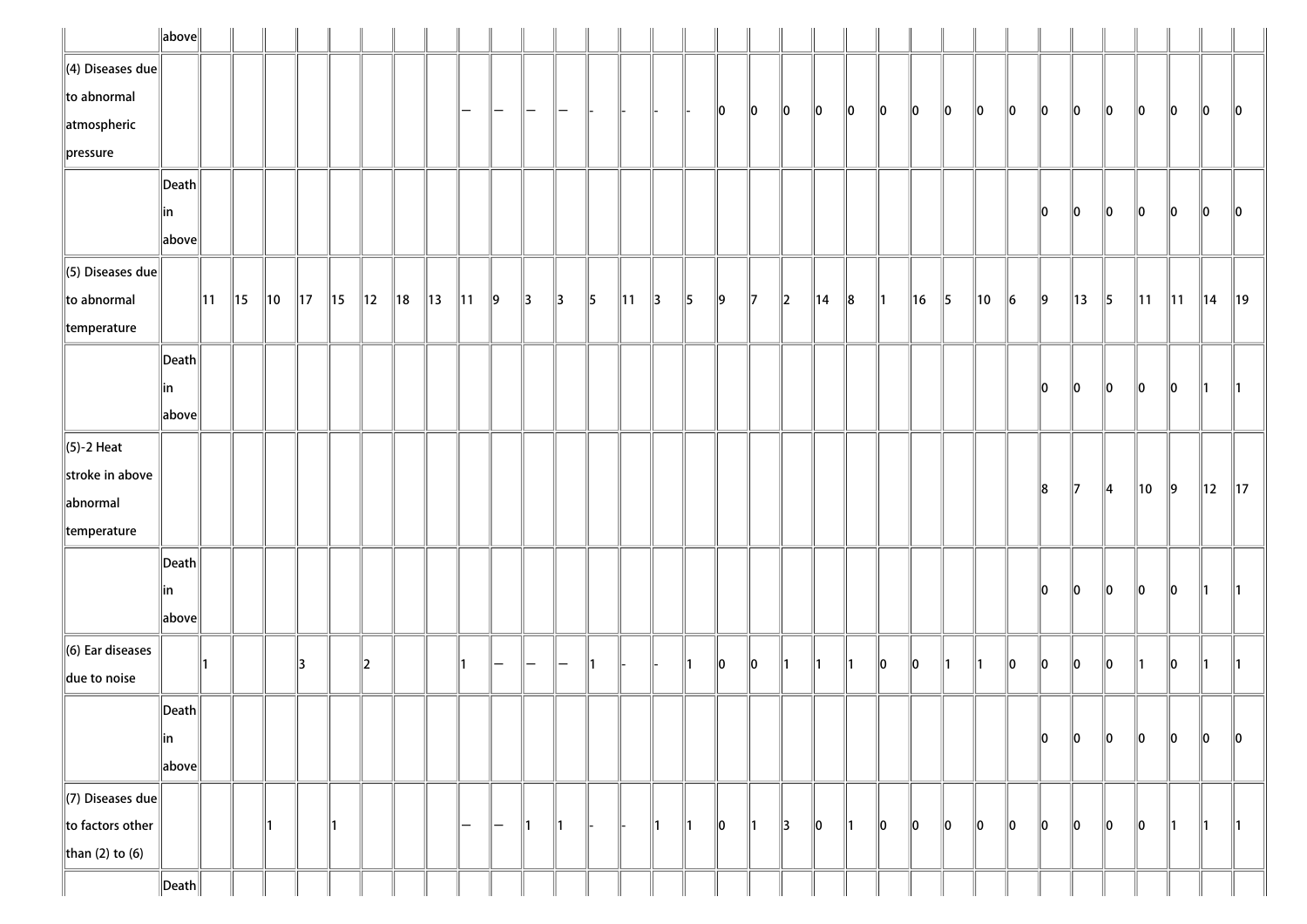|                          | $\ $ above $\ $       |                |                |                |                |    |                |                |                |                |                   |               |                          |           |                |               |               |           |               |             |                |       |               |     |               |                |         |         |                |               |                |                |     |                |
|--------------------------|-----------------------|----------------|----------------|----------------|----------------|----|----------------|----------------|----------------|----------------|-------------------|---------------|--------------------------|-----------|----------------|---------------|---------------|-----------|---------------|-------------|----------------|-------|---------------|-----|---------------|----------------|---------|---------|----------------|---------------|----------------|----------------|-----|----------------|
| $\ $ (4) Diseases due    |                       |                |                |                |                |    |                |                |                |                |                   |               |                          |           |                |               |               |           |               |             |                |       |               |     |               |                |         |         |                |               |                |                |     |                |
| $\ $ to abnormal         |                       |                |                |                |                |    |                |                |                | -              | —                 |               |                          |           |                |               |               | 10        | 10            | $\ 0\ $     | 10             | 10    | 10            | 10  | 10            | 10             | 10      | 10      | 10             | 10            | 10             | 10             | 10  | $\ 0\ $        |
| atmospheric              |                       |                |                |                |                |    |                |                |                |                |                   |               |                          |           |                |               |               |           |               |             |                |       |               |     |               |                |         |         |                |               |                |                |     |                |
| $\ $ pressure            |                       |                |                |                |                |    |                |                |                |                |                   |               |                          |           |                |               |               |           |               |             |                |       |               |     |               |                |         |         |                |               |                |                |     |                |
|                          | $ \mathsf{Death} $    |                |                |                |                |    |                |                |                |                |                   |               |                          |           |                |               |               |           |               |             |                |       |               |     |               |                |         |         |                |               |                |                |     |                |
|                          | in                    |                |                |                |                |    |                |                |                |                |                   |               |                          |           |                |               |               |           |               |             |                |       |               |     |               |                |         | 10      | 10             | 10            | 10             | 10             | 10  | 10             |
|                          | above                 |                |                |                |                |    |                |                |                |                |                   |               |                          |           |                |               |               |           |               |             |                |       |               |     |               |                |         |         |                |               |                |                |     |                |
| $\ $ (5) Diseases due    |                       |                |                |                |                |    |                |                |                |                |                   |               |                          |           |                |               |               |           |               |             |                |       |               |     |               |                |         |         |                |               |                |                |     |                |
| $\ $ to abnormal         |                       | $\parallel$ 11 | $\parallel$ 15 | $\parallel$ 10 | $\parallel$ 17 | 15 | $\parallel$ 12 | $\parallel$ 18 | $\parallel$ 13 | $\parallel$ 11 | $\parallel$ 9     | $\parallel$ 3 | $\parallel$ 3            | $\vert$ 5 | $\parallel$ 11 | $\parallel$ 3 | $\parallel$ 5 | $\vert$ 9 | $\parallel$ 7 | $ 2\rangle$ | $\parallel$ 14 | $\ 8$ | $\parallel$ 1 | ∥16 | $\parallel$ 5 | $\parallel$ 10 | $\ 6\ $ | $\ 9\ $ | $\parallel$ 13 | $\parallel$ 5 | $\parallel$ 11 | $\parallel$ 11 | ∥14 | $\parallel$ 19 |
| $\parallel$ temperature  |                       |                |                |                |                |    |                |                |                |                |                   |               |                          |           |                |               |               |           |               |             |                |       |               |     |               |                |         |         |                |               |                |                |     |                |
|                          | $\vert$ Death $\vert$ |                |                |                |                |    |                |                |                |                |                   |               |                          |           |                |               |               |           |               |             |                |       |               |     |               |                |         |         |                |               |                |                |     |                |
|                          | in                    |                |                |                |                |    |                |                |                |                |                   |               |                          |           |                |               |               |           |               |             |                |       |               |     |               |                |         | 10      | 10             | 10            | 10             | 10             | 11. | $\parallel$ 1  |
|                          | above                 |                |                |                |                |    |                |                |                |                |                   |               |                          |           |                |               |               |           |               |             |                |       |               |     |               |                |         |         |                |               |                |                |     |                |
| $\ $ (5)-2 Heat          |                       |                |                |                |                |    |                |                |                |                |                   |               |                          |           |                |               |               |           |               |             |                |       |               |     |               |                |         |         |                |               |                |                |     |                |
| stroke in above          |                       |                |                |                |                |    |                |                |                |                |                   |               |                          |           |                |               |               |           |               |             |                |       |               |     |               |                |         |         |                |               |                |                |     |                |
| abnormal                 |                       |                |                |                |                |    |                |                |                |                |                   |               |                          |           |                |               |               |           |               |             |                |       |               |     |               |                |         | 8       | 17             | $\parallel$ 4 | 10             | ∥9             | 12  | $\parallel$ 17 |
| $\parallel$ temperature  |                       |                |                |                |                |    |                |                |                |                |                   |               |                          |           |                |               |               |           |               |             |                |       |               |     |               |                |         |         |                |               |                |                |     |                |
|                          | $\vert$ Death $\vert$ |                |                |                |                |    |                |                |                |                |                   |               |                          |           |                |               |               |           |               |             |                |       |               |     |               |                |         |         |                |               |                |                |     |                |
|                          | in                    |                |                |                |                |    |                |                |                |                |                   |               |                          |           |                |               |               |           |               |             |                |       |               |     |               |                |         | 10      | 10             | $\ 0\ $       | 10             | 10             | 11. | $\parallel$ 1  |
|                          | above                 |                |                |                |                |    |                |                |                |                |                   |               |                          |           |                |               |               |           |               |             |                |       |               |     |               |                |         |         |                |               |                |                |     |                |
| $\ $ (6) Ear diseases    |                       |                |                |                |                |    |                |                |                |                |                   |               |                          |           |                |               |               |           |               |             |                |       |               |     |               |                |         |         |                |               |                |                |     |                |
| due to noise             |                       |                |                |                | 13             |    | 2              |                |                |                |                   |               | $\overline{\phantom{0}}$ | 11.       |                |               | 11            | 10        | 10            | ∥1          | ∥1             | ∥1    | 10            | 10  | 11            |                | 10      | llo     | ∥o             | $\ 0\ $       |                | 10             | 11. | ∥1             |
|                          | $\ $ Death $\ $       |                |                |                |                |    |                |                |                |                |                   |               |                          |           |                |               |               |           |               |             |                |       |               |     |               |                |         |         |                |               |                |                |     |                |
|                          | ∥in                   |                |                |                |                |    |                |                |                |                |                   |               |                          |           |                |               |               |           |               |             |                |       |               |     |               |                |         | 10      | $\ 0\ $        | $\ 0\ $       | 10             | 10             | 10  | 10             |
|                          | above                 |                |                |                |                |    |                |                |                |                |                   |               |                          |           |                |               |               |           |               |             |                |       |               |     |               |                |         |         |                |               |                |                |     |                |
| $\Vert$ (7) Diseases due |                       |                |                |                |                |    |                |                |                |                |                   |               |                          |           |                |               |               |           |               |             |                |       |               |     |               |                |         |         |                |               |                |                |     |                |
| to factors other         |                       |                |                |                |                | ∥1 |                |                |                | -              | $\qquad \qquad -$ | ∥1            | 11                       |           |                | $\parallel$ 1 | $\parallel$ 1 | 10        | $\parallel$ 1 | 3           | 10             | 11    | 10            | 10  | 10            | 10             | 10      | $\ 0\ $ | 10             | $\ 0\ $       | 10             | 11             | 11. | $\parallel$ 1  |
| than (2) to (6)          |                       |                |                |                |                |    |                |                |                |                |                   |               |                          |           |                |               |               |           |               |             |                |       |               |     |               |                |         |         |                |               |                |                |     |                |
|                          | $\ $ Death $\ $       |                |                |                |                |    |                |                |                |                |                   |               |                          |           |                |               |               |           |               |             |                |       |               |     |               |                |         |         |                |               |                |                |     |                |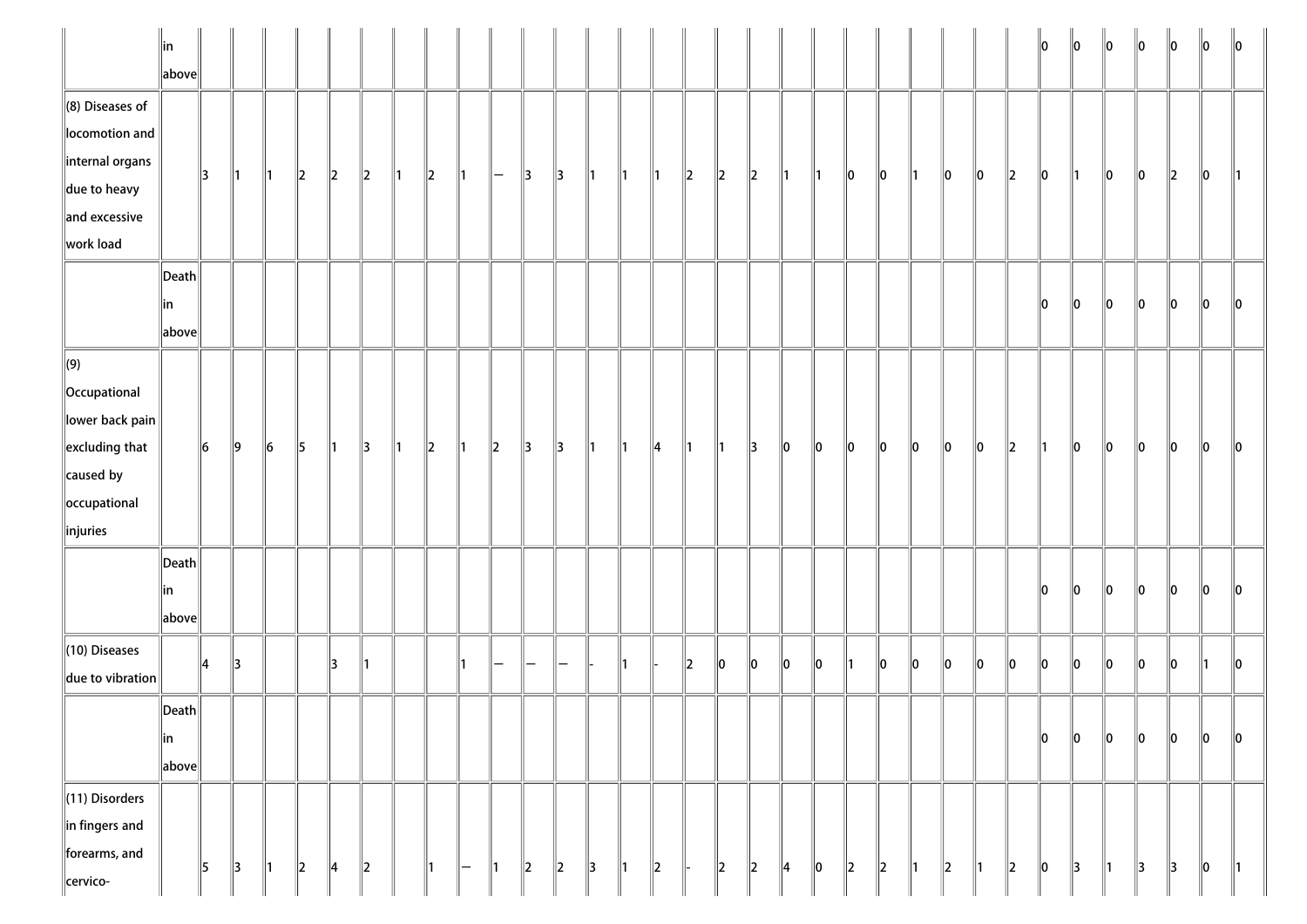|                                                                                                                                   | $\ $ in<br>above                                |         |               |               |               |               |               |              |         |               |               |               |               |               |               |               |               |                          |               |               |             |         |    |    |    |               |               | 10      | 10            | $\ 0\ $       | 10            | $\parallel$ 0 | 10 | $\parallel$ 0 |
|-----------------------------------------------------------------------------------------------------------------------------------|-------------------------------------------------|---------|---------------|---------------|---------------|---------------|---------------|--------------|---------|---------------|---------------|---------------|---------------|---------------|---------------|---------------|---------------|--------------------------|---------------|---------------|-------------|---------|----|----|----|---------------|---------------|---------|---------------|---------------|---------------|---------------|----|---------------|
| $\ $ (8) Diseases of<br>locomotion and<br> internal organs<br>$\ $ due to heavy<br>and excessive<br>work load                     |                                                 | 3       | $\parallel$ 1 | $\parallel$ 1 | $\ 2\ $       | 2             | $\parallel$ 2 | ∥1           | $\ 2\ $ | $\parallel$ 1 | $\vdash$      | $\parallel$ 3 | $\parallel$ 3 | $\parallel$ 1 | $\parallel$ 1 | $\parallel$ 1 | $\ 2\ $       | $\ 2\ $                  | $\ 2\ $       | $\parallel$ 1 | ∥1          | 10      | 10 | ∥1 | 10 | 10            | 2             | 10      | ∥1            | 10            | 10            | 2             | 10 | $\parallel$ 1 |
|                                                                                                                                   | $ \mathsf{Death} $<br> in<br> above             |         |               |               |               |               |               |              |         |               |               |               |               |               |               |               |               |                          |               |               |             |         |    |    |    |               |               | 10      | 10            | 10            | 10            | 10            | 10 | 10            |
| $\Vert(9)\Vert$<br>Occupational<br>lower back pain<br>$\left\ $ excluding that<br>$\ $ caused by<br>occupational<br>$\ $ injuries |                                                 | $\ 6\ $ | ∥9            | $\ 6\ $       | $\parallel$ 5 | $\parallel$ 1 | $\parallel$ 3 | $\mathbf{H}$ | $\ 2\ $ | $\parallel$ 1 | $\ 2\ $       | $\parallel$ 3 | $\parallel$ 3 | $\parallel$ 1 | $\parallel$ 1 | $\parallel$ 4 | $\parallel$ 1 | $\parallel$ 1            | $\parallel$ 3 | $ 0\rangle$   | $ 0\rangle$ | 10      | 10 | 10 | 10 | 10            | $\ 2\ $       | ∥1      | 10            | 10            | 10            | 10            | 10 | $\parallel$ 0 |
|                                                                                                                                   | $\vert$ Death $\vert$<br> in<br>$\ $ above $\ $ |         |               |               |               |               |               |              |         |               |               |               |               |               |               |               |               |                          |               |               |             |         |    |    |    |               |               | 10      | 10            | 10            | 10            | 10            | 10 | 10            |
| $\ $ (10) Diseases<br>$\ $ due to vibration                                                                                       |                                                 | ∥4      | $\parallel$ 3 |               |               | 13            | 11            |              |         |               |               |               | -             |               | ∥1            |               | $\ 2\ $       | $\parallel$ 0            | 10            | $\ 0\ $       | 10          | ∥1      | 10 | 10 | 10 | 10            | 10            | llo     | ∥o            | 10            | 10            | 10            | 11 | $\ 0\ $       |
|                                                                                                                                   | $\ $ Death $\ $<br>∥in<br>above                 |         |               |               |               |               |               |              |         |               |               |               |               |               |               |               |               |                          |               |               |             |         |    |    |    |               |               | 10      | 0             | $\ 0\ $       | 10            | 10            | 10 | 10            |
| $\ $ (11) Disorders<br>$\ $ in fingers and<br>forearms, and<br>cervico-                                                           |                                                 | 5       | $\parallel$ 3 | $\parallel$ 1 | $\ 2\ $       | $\parallel$ 4 | $\ 2\ $       |              |         | -             | $\mathbb{I}1$ | $\ 2\ $       | $\ 2\ $       | $\parallel$ 3 | $\parallel$ 1 | $\ 2\ $       | ⊪             | $\parallel$ <sub>2</sub> | $\ 2\ $       | $\vert 4$     | $\ 0\ $     | $\ 2\ $ | 2  | ∥1 | 2  | $\parallel$ 1 | $\parallel$ 2 | $\ 0\ $ | $\parallel$ 3 | $\parallel$ 1 | $\parallel$ 3 | 3             | 0  | $\parallel$ 1 |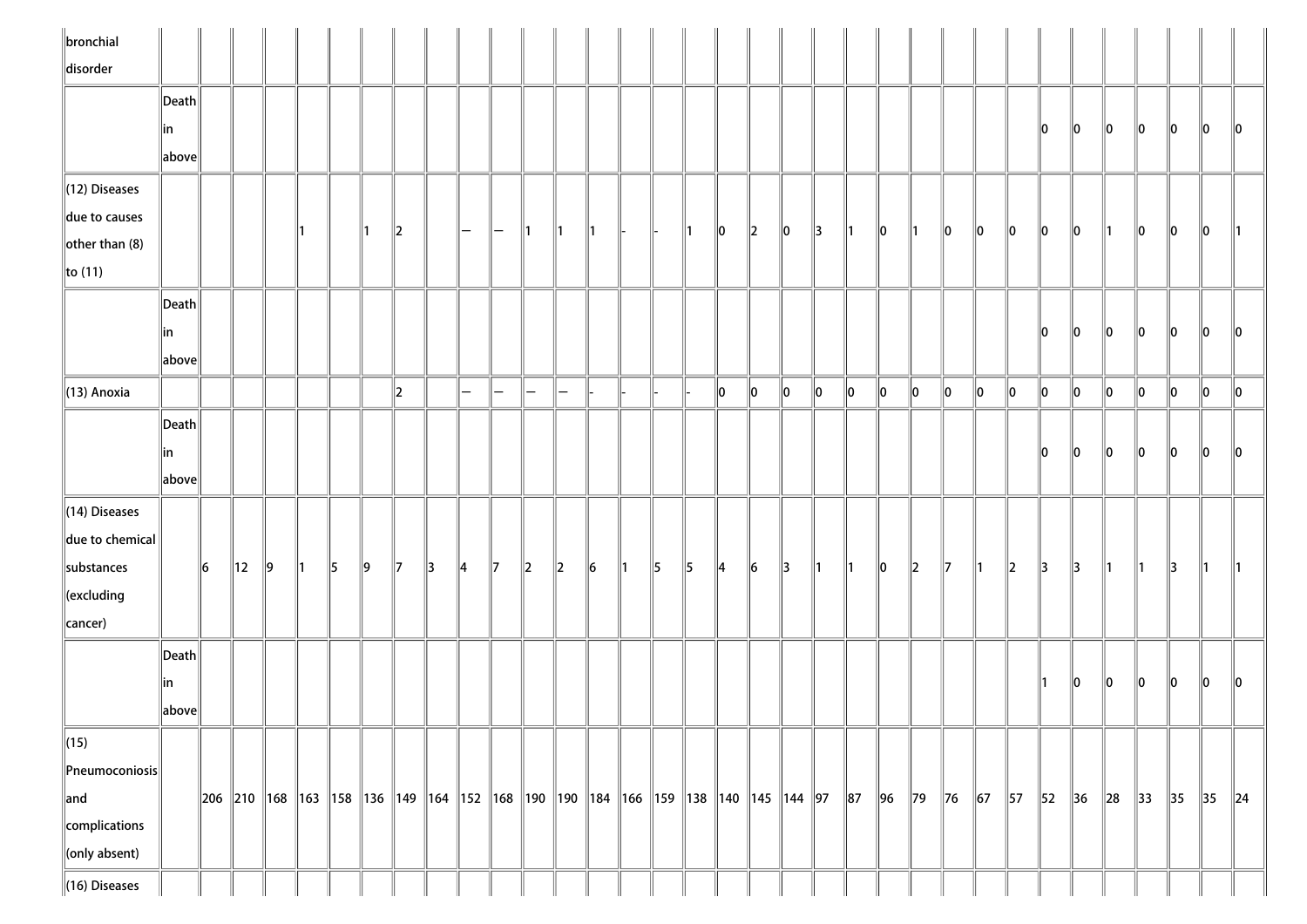| $\ $ bronchial            |                                      |   |                |   |    |   |         |              |               |               |                   |                          |                          |           |               |           |               |               |               |               |               |               |               |               |               |               |               |               |               |                                                                                                                                                                        |    |                |                |                |
|---------------------------|--------------------------------------|---|----------------|---|----|---|---------|--------------|---------------|---------------|-------------------|--------------------------|--------------------------|-----------|---------------|-----------|---------------|---------------|---------------|---------------|---------------|---------------|---------------|---------------|---------------|---------------|---------------|---------------|---------------|------------------------------------------------------------------------------------------------------------------------------------------------------------------------|----|----------------|----------------|----------------|
| disorder                  |                                      |   |                |   |    |   |         |              |               |               |                   |                          |                          |           |               |           |               |               |               |               |               |               |               |               |               |               |               |               |               |                                                                                                                                                                        |    |                |                |                |
|                           | $ $ Death $ $                        |   |                |   |    |   |         |              |               |               |                   |                          |                          |           |               |           |               |               |               |               |               |               |               |               |               |               |               |               |               |                                                                                                                                                                        |    |                |                |                |
|                           | in                                   |   |                |   |    |   |         |              |               |               |                   |                          |                          |           |               |           |               |               |               |               |               |               |               |               |               |               |               | 10            | 10            | 10                                                                                                                                                                     | 10 | 10             | 10             | $\parallel 0$  |
|                           | above                                |   |                |   |    |   |         |              |               |               |                   |                          |                          |           |               |           |               |               |               |               |               |               |               |               |               |               |               |               |               |                                                                                                                                                                        |    |                |                |                |
| (12) Diseases             |                                      |   |                |   |    |   |         |              |               |               |                   |                          |                          |           |               |           |               |               |               |               |               |               |               |               |               |               |               |               |               |                                                                                                                                                                        |    |                |                |                |
| due to causes             |                                      |   |                |   |    |   |         | $\ 2\ $      |               | —             | $\qquad \qquad -$ |                          |                          |           |               |           |               | 10            | $\ 2\ $       | 10            | 3             | $\parallel$ 1 | $\parallel$ 0 | $\parallel$ 1 | $\parallel$ 0 | 10            | $\parallel$ 0 | 10            | 10            | ∥1                                                                                                                                                                     | 10 | 10             | 10             |                |
| other than $(8)$          |                                      |   |                |   |    |   |         |              |               |               |                   |                          |                          |           |               |           |               |               |               |               |               |               |               |               |               |               |               |               |               |                                                                                                                                                                        |    |                |                |                |
| $\ $ to (11)              |                                      |   |                |   |    |   |         |              |               |               |                   |                          |                          |           |               |           |               |               |               |               |               |               |               |               |               |               |               |               |               |                                                                                                                                                                        |    |                |                |                |
|                           | Death                                |   |                |   |    |   |         |              |               |               |                   |                          |                          |           |               |           |               |               |               |               |               |               |               |               |               |               |               |               |               |                                                                                                                                                                        |    |                |                |                |
|                           | in                                   |   |                |   |    |   |         |              |               |               |                   |                          |                          |           |               |           |               |               |               |               |               |               |               |               |               |               |               | 10            | 10            | 10                                                                                                                                                                     | 10 | 10             | 10             | 10             |
|                           | $\left\Vert \text{above}\right\Vert$ |   |                |   |    |   |         |              |               |               |                   |                          |                          |           |               |           |               |               |               |               |               |               |               |               |               |               |               |               |               |                                                                                                                                                                        |    |                |                |                |
| $\parallel$ (13) Anoxia   |                                      |   |                |   |    |   |         | $\ 2\ $      |               | $\equiv$      | $\qquad \qquad -$ | $\overline{\phantom{0}}$ | $\overline{\phantom{0}}$ |           |               |           |               | 10            | $\parallel$ 0 | 10            | $\ 0\ $       | 10            | $\ 0\ $       | $\ 0\ $       | $\ 0\ $       | $\ 0\ $       | $\ 0\ $       | 0             | ∥0            | $\ 0\ $                                                                                                                                                                | 10 | 10             | 0              | $\ 0\ $        |
|                           | Death                                |   |                |   |    |   |         |              |               |               |                   |                          |                          |           |               |           |               |               |               |               |               |               |               |               |               |               |               |               |               |                                                                                                                                                                        |    |                |                |                |
|                           | in                                   |   |                |   |    |   |         |              |               |               |                   |                          |                          |           |               |           |               |               |               |               |               |               |               |               |               |               |               | llo.          | 10            | 10                                                                                                                                                                     | 10 | 10             | 10             | $\parallel$ 0  |
|                           | above                                |   |                |   |    |   |         |              |               |               |                   |                          |                          |           |               |           |               |               |               |               |               |               |               |               |               |               |               |               |               |                                                                                                                                                                        |    |                |                |                |
| $\parallel$ (14) Diseases |                                      |   |                |   |    |   |         |              |               |               |                   |                          |                          |           |               |           |               |               |               |               |               |               |               |               |               |               |               |               |               |                                                                                                                                                                        |    |                |                |                |
| $\ $ due to chemical      |                                      |   |                |   |    |   |         |              |               |               |                   |                          |                          |           |               |           |               |               |               |               |               |               |               |               |               |               |               |               |               |                                                                                                                                                                        |    |                |                |                |
| substances                |                                      | 6 | $\parallel$ 12 | 9 | ∥1 | 5 | $\ 9\ $ | $\mathbb{I}$ | $\parallel$ 3 | $\parallel$ 4 | $\parallel$ 7     | $\parallel$ <sub>2</sub> | $\ 2\ $                  | $\vert$ 6 | $\parallel$ 1 | $\vert$ 5 | $\parallel$ 5 | $\parallel$ 4 | $\vert$ 6     | $\parallel$ 3 | $\parallel$ 1 | $\parallel$ 1 | $ 0\rangle$   | $\ 2\ $       | $\parallel$ 7 | $\parallel$ 1 | $\ 2\ $       | $\parallel$ 3 | $\parallel$ 3 | $\parallel$ 1                                                                                                                                                          | 11 | 13             | 11.            | ∥1             |
| $\ $ (excluding           |                                      |   |                |   |    |   |         |              |               |               |                   |                          |                          |           |               |           |               |               |               |               |               |               |               |               |               |               |               |               |               |                                                                                                                                                                        |    |                |                |                |
| cancer)                   |                                      |   |                |   |    |   |         |              |               |               |                   |                          |                          |           |               |           |               |               |               |               |               |               |               |               |               |               |               |               |               |                                                                                                                                                                        |    |                |                |                |
|                           | $\vert$ Death $\vert$                |   |                |   |    |   |         |              |               |               |                   |                          |                          |           |               |           |               |               |               |               |               |               |               |               |               |               |               |               |               |                                                                                                                                                                        |    |                |                |                |
|                           | in                                   |   |                |   |    |   |         |              |               |               |                   |                          |                          |           |               |           |               |               |               |               |               |               |               |               |               |               |               | 11            | 10            | 10                                                                                                                                                                     | 10 | $\ 0\ $        | 10             | 10             |
|                           | above                                |   |                |   |    |   |         |              |               |               |                   |                          |                          |           |               |           |               |               |               |               |               |               |               |               |               |               |               |               |               |                                                                                                                                                                        |    |                |                |                |
| $\sqrt{(15)}$             |                                      |   |                |   |    |   |         |              |               |               |                   |                          |                          |           |               |           |               |               |               |               |               |               |               |               |               |               |               |               |               |                                                                                                                                                                        |    |                |                |                |
| $\ $ Pneumoconiosis $\ $  |                                      |   |                |   |    |   |         |              |               |               |                   |                          |                          |           |               |           |               |               |               |               |               |               |               |               |               |               |               |               |               |                                                                                                                                                                        |    |                |                |                |
| $\ $ and                  |                                      |   |                |   |    |   |         |              |               |               |                   |                          |                          |           |               |           |               |               |               |               |               |               |               |               |               |               |               |               |               | 206   210   168   163   158   136   149   164   152   168   190   190   184   166   159   138   140   145   144   97   87   96   79   76   67   57   52   36   28   33 |    | $\parallel$ 35 | $\parallel$ 35 | $\parallel$ 24 |
| complications             |                                      |   |                |   |    |   |         |              |               |               |                   |                          |                          |           |               |           |               |               |               |               |               |               |               |               |               |               |               |               |               |                                                                                                                                                                        |    |                |                |                |
| conly absent)             |                                      |   |                |   |    |   |         |              |               |               |                   |                          |                          |           |               |           |               |               |               |               |               |               |               |               |               |               |               |               |               |                                                                                                                                                                        |    |                |                |                |
| $\ $ (16) Diseases        |                                      |   |                |   |    |   |         |              |               |               |                   |                          |                          |           |               |           |               |               |               |               |               |               |               |               |               |               |               |               |               |                                                                                                                                                                        |    |                |                |                |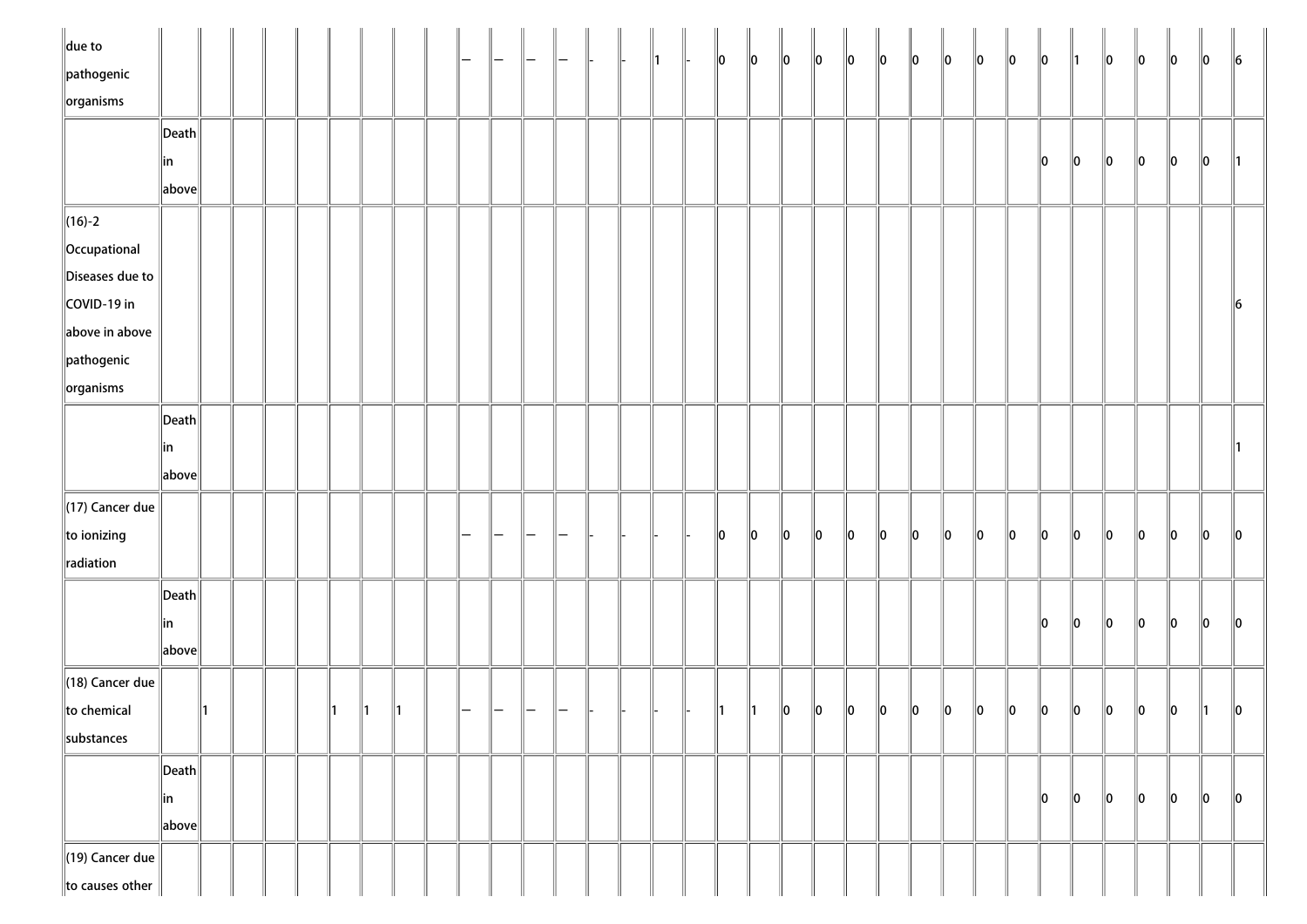| $\ $ due to<br>$\parallel$ pathogenic |                                        |  |  |  |  |  |  |  |  | $\ 0\ $       | $\ 0\ $ | $\ 0\ $ | $\ 0\ $ | $\ 0\ $ | $\ 0\ $     | $\ 0\ $     | $\ 0\ $ | $\ 0\ $ | $\ 0\ $ | $\ 0\ $ | $\parallel$ 1 | $\ 0\ $ | $\ 0\ $ | $\ 0\ $ | 10            | $\ 6\ $       |
|---------------------------------------|----------------------------------------|--|--|--|--|--|--|--|--|---------------|---------|---------|---------|---------|-------------|-------------|---------|---------|---------|---------|---------------|---------|---------|---------|---------------|---------------|
| $\sqrt{\frac{1}{10}}$ organisms       |                                        |  |  |  |  |  |  |  |  |               |         |         |         |         |             |             |         |         |         |         |               |         |         |         |               |               |
|                                       |                                        |  |  |  |  |  |  |  |  |               |         |         |         |         |             |             |         |         |         |         |               |         |         |         |               |               |
|                                       | $\ $ Death $\ $                        |  |  |  |  |  |  |  |  |               |         |         |         |         |             |             |         |         |         | 10      | $\ 0\ $       | $\ 0\ $ | $\ 0\ $ | $\ 0\ $ | 10            | $\parallel$ 1 |
|                                       | ∥in<br>$\ $ above $\ $                 |  |  |  |  |  |  |  |  |               |         |         |         |         |             |             |         |         |         |         |               |         |         |         |               |               |
|                                       |                                        |  |  |  |  |  |  |  |  |               |         |         |         |         |             |             |         |         |         |         |               |         |         |         |               |               |
| $\ $ (16)-2                           |                                        |  |  |  |  |  |  |  |  |               |         |         |         |         |             |             |         |         |         |         |               |         |         |         |               |               |
| Occupational                          |                                        |  |  |  |  |  |  |  |  |               |         |         |         |         |             |             |         |         |         |         |               |         |         |         |               |               |
| Diseases due to                       |                                        |  |  |  |  |  |  |  |  |               |         |         |         |         |             |             |         |         |         |         |               |         |         |         |               |               |
| COVID-19 in                           |                                        |  |  |  |  |  |  |  |  |               |         |         |         |         |             |             |         |         |         |         |               |         |         |         |               | $\parallel$ 6 |
| above in above                        |                                        |  |  |  |  |  |  |  |  |               |         |         |         |         |             |             |         |         |         |         |               |         |         |         |               |               |
| $\parallel$ pathogenic                |                                        |  |  |  |  |  |  |  |  |               |         |         |         |         |             |             |         |         |         |         |               |         |         |         |               |               |
| $\left\Vert$ organisms                |                                        |  |  |  |  |  |  |  |  |               |         |         |         |         |             |             |         |         |         |         |               |         |         |         |               |               |
|                                       | $\ $ Death $\ $                        |  |  |  |  |  |  |  |  |               |         |         |         |         |             |             |         |         |         |         |               |         |         |         |               |               |
|                                       | in                                     |  |  |  |  |  |  |  |  |               |         |         |         |         |             |             |         |         |         |         |               |         |         |         |               |               |
|                                       | $\ $ above $\ $                        |  |  |  |  |  |  |  |  |               |         |         |         |         |             |             |         |         |         |         |               |         |         |         |               |               |
| $\parallel$ (17) Cancer due           |                                        |  |  |  |  |  |  |  |  |               |         |         |         |         |             |             |         |         |         |         |               |         |         |         |               |               |
| to ionizing                           |                                        |  |  |  |  |  |  |  |  | $\parallel$ 0 | 10      | 10      | $\ 0\ $ | $\ 0\ $ | $ 0\rangle$ | $ 0\rangle$ | $\ 0\ $ | $\ 0\ $ | $\ 0\ $ | $\ 0\ $ | $\ 0\ $       | $\ 0\ $ | $\ 0\ $ | $\ 0\ $ | $\ 0\ $       | $\ 0\ $       |
| radiation                             |                                        |  |  |  |  |  |  |  |  |               |         |         |         |         |             |             |         |         |         |         |               |         |         |         |               |               |
|                                       | $\left\Vert \mathsf{Death}\right\Vert$ |  |  |  |  |  |  |  |  |               |         |         |         |         |             |             |         |         |         |         |               |         |         |         |               |               |
|                                       | ∥in                                    |  |  |  |  |  |  |  |  |               |         |         |         |         |             |             |         |         |         | $\ 0\ $ | $\ 0\ $       | $\ 0\ $ | $\ 0\ $ | $\ 0\ $ | $\ 0\ $       | $\ 0\ $       |
|                                       | $\ $ above $\ $                        |  |  |  |  |  |  |  |  |               |         |         |         |         |             |             |         |         |         |         |               |         |         |         |               |               |
|                                       |                                        |  |  |  |  |  |  |  |  |               |         |         |         |         |             |             |         |         |         |         |               |         |         |         |               |               |
| $\parallel$ (18) Cancer due           |                                        |  |  |  |  |  |  |  |  |               |         |         |         |         |             |             |         |         |         |         |               |         |         |         |               |               |
| to chemical                           |                                        |  |  |  |  |  |  |  |  |               | 11 1    | 10      | $\ 0\ $ | $\ 0\ $ | $\ 0\ $     | $\ 0\ $     | $\ 0\ $ | $\ 0\ $ | $\ 0\ $ | $\ 0\ $ | $\ 0\ $       | 10      | $\ 0\ $ | $\ 0\ $ | $\parallel$ 1 | 10            |
| substances                            |                                        |  |  |  |  |  |  |  |  |               |         |         |         |         |             |             |         |         |         |         |               |         |         |         |               |               |
|                                       | $\vert$ Death $\vert$                  |  |  |  |  |  |  |  |  |               |         |         |         |         |             |             |         |         |         |         |               |         |         |         |               |               |
|                                       | ∥in                                    |  |  |  |  |  |  |  |  |               |         |         |         |         |             |             |         |         |         | 10      | 10            | 10      | $\ 0\ $ | $\ 0\ $ | $\ 0\ $       | $\ 0\ $       |
|                                       | $\ $ above $\ $                        |  |  |  |  |  |  |  |  |               |         |         |         |         |             |             |         |         |         |         |               |         |         |         |               |               |
| $\parallel$ (19) Cancer due           |                                        |  |  |  |  |  |  |  |  |               |         |         |         |         |             |             |         |         |         |         |               |         |         |         |               |               |
| to causes other                       |                                        |  |  |  |  |  |  |  |  |               |         |         |         |         |             |             |         |         |         |         |               |         |         |         |               |               |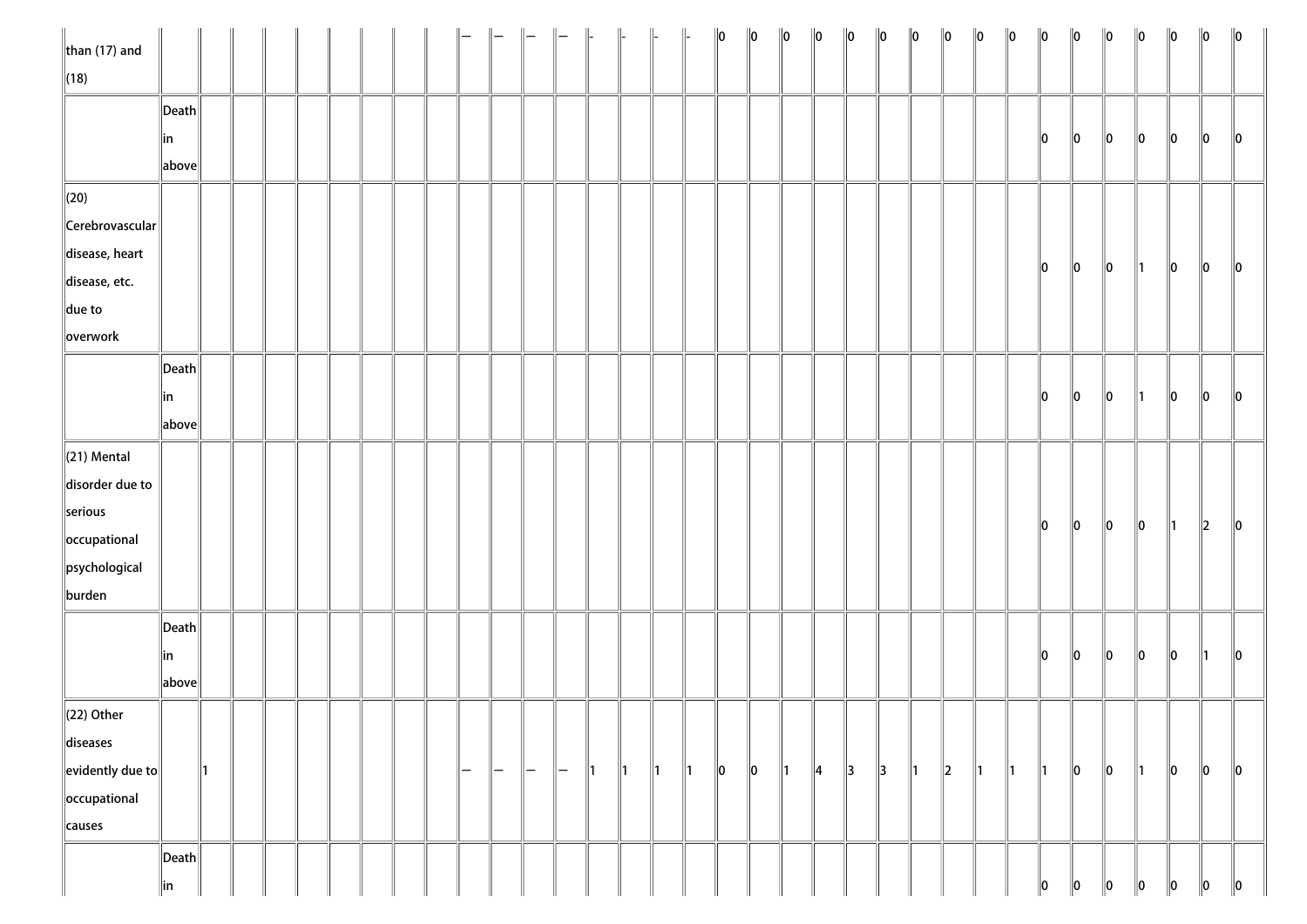| $\ $ than (17) and                          |                       |               |  |  |  |     |                          |     |                   | $\parallel$ | $\parallel$   |               |               | $\ 0\ $ | $\ 0\ $ | $\ 0\ $       | $\ 0\ $       | $\ 0\ $       | $\ 0\ $       | $\ 0\ $       | $\ 0\ $ | $\ 0\ $       | $\ 0\ $       | $\ 0\ $       | $\ 0\ $ | $\ 0\ $     | $\ 0\ $       | $\ 0\ $       | $\ 0\ $       | $\ 0\ $       |
|---------------------------------------------|-----------------------|---------------|--|--|--|-----|--------------------------|-----|-------------------|-------------|---------------|---------------|---------------|---------|---------|---------------|---------------|---------------|---------------|---------------|---------|---------------|---------------|---------------|---------|-------------|---------------|---------------|---------------|---------------|
| $\ $ (18)                                   |                       |               |  |  |  |     |                          |     |                   |             |               |               |               |         |         |               |               |               |               |               |         |               |               |               |         |             |               |               |               |               |
|                                             | $\ $ Death $\ $       |               |  |  |  |     |                          |     |                   |             |               |               |               |         |         |               |               |               |               |               |         |               |               |               |         |             |               |               |               |               |
|                                             | ∥in                   |               |  |  |  |     |                          |     |                   |             |               |               |               |         |         |               |               |               |               |               |         |               |               | 10            | $\ 0\ $ | $\ 0\ $     | 10            | 10            | 10            | $\parallel$ 0 |
|                                             | above                 |               |  |  |  |     |                          |     |                   |             |               |               |               |         |         |               |               |               |               |               |         |               |               |               |         |             |               |               |               |               |
| $\ $ (20)                                   |                       |               |  |  |  |     |                          |     |                   |             |               |               |               |         |         |               |               |               |               |               |         |               |               |               |         |             |               |               |               |               |
| $\ $ Cerebrovascular $\ $                   |                       |               |  |  |  |     |                          |     |                   |             |               |               |               |         |         |               |               |               |               |               |         |               |               |               |         |             |               |               |               |               |
| disease, heart                              |                       |               |  |  |  |     |                          |     |                   |             |               |               |               |         |         |               |               |               |               |               |         |               |               | 10            |         |             |               |               |               |               |
| disease, etc.                               |                       |               |  |  |  |     |                          |     |                   |             |               |               |               |         |         |               |               |               |               |               |         |               |               |               | $\ 0\ $ | $\ 0\ $     | $\parallel$ 1 | $\ 0\ $       | $\ 0\ $       | 10            |
| $\ $ due to                                 |                       |               |  |  |  |     |                          |     |                   |             |               |               |               |         |         |               |               |               |               |               |         |               |               |               |         |             |               |               |               |               |
| overwork                                    |                       |               |  |  |  |     |                          |     |                   |             |               |               |               |         |         |               |               |               |               |               |         |               |               |               |         |             |               |               |               |               |
|                                             | $\vert$ Death $\vert$ |               |  |  |  |     |                          |     |                   |             |               |               |               |         |         |               |               |               |               |               |         |               |               |               |         |             |               |               |               |               |
|                                             | in                    |               |  |  |  |     |                          |     |                   |             |               |               |               |         |         |               |               |               |               |               |         |               |               | $\parallel$ 0 | $\ 0\ $ | $\ 0\ $     | $\parallel$ 1 | $ 0\rangle$   | $\ 0\ $       | $\parallel$ 0 |
|                                             | above                 |               |  |  |  |     |                          |     |                   |             |               |               |               |         |         |               |               |               |               |               |         |               |               |               |         |             |               |               |               |               |
| $\ $ (21) Mental                            |                       |               |  |  |  |     |                          |     |                   |             |               |               |               |         |         |               |               |               |               |               |         |               |               |               |         |             |               |               |               |               |
| disorder due to                             |                       |               |  |  |  |     |                          |     |                   |             |               |               |               |         |         |               |               |               |               |               |         |               |               |               |         |             |               |               |               |               |
| serious                                     |                       |               |  |  |  |     |                          |     |                   |             |               |               |               |         |         |               |               |               |               |               |         |               |               |               |         |             |               |               |               |               |
| occupational                                |                       |               |  |  |  |     |                          |     |                   |             |               |               |               |         |         |               |               |               |               |               |         |               |               | $\ 0\ $       | $\ 0\ $ | $\ 0\ $     | $\ 0\ $       | $\parallel$ 1 | $\vert$ 2     | $\ 0\ $       |
| psychological                               |                       |               |  |  |  |     |                          |     |                   |             |               |               |               |         |         |               |               |               |               |               |         |               |               |               |         |             |               |               |               |               |
| burden                                      |                       |               |  |  |  |     |                          |     |                   |             |               |               |               |         |         |               |               |               |               |               |         |               |               |               |         |             |               |               |               |               |
|                                             | $\ $ Death $\ $       |               |  |  |  |     |                          |     |                   |             |               |               |               |         |         |               |               |               |               |               |         |               |               |               |         |             |               |               |               |               |
|                                             | ∥in                   |               |  |  |  |     |                          |     |                   |             |               |               |               |         |         |               |               |               |               |               |         |               |               | $\parallel$ 0 | $\ 0\ $ | $ 0\rangle$ | $\ 0\ $       | $\ 0\ $       | $\parallel$ 1 | $\ 0\ $       |
|                                             | above                 |               |  |  |  |     |                          |     |                   |             |               |               |               |         |         |               |               |               |               |               |         |               |               |               |         |             |               |               |               |               |
| $\ $ (22) Other                             |                       |               |  |  |  |     |                          |     |                   |             |               |               |               |         |         |               |               |               |               |               |         |               |               |               |         |             |               |               |               |               |
| diseases                                    |                       |               |  |  |  |     |                          |     |                   |             |               |               |               |         |         |               |               |               |               |               |         |               |               |               |         |             |               |               |               |               |
| $\left\Vert$ evidently due to $\right\Vert$ |                       | $\parallel$ 1 |  |  |  | $-$ | $\overline{\phantom{a}}$ | ı — | $\qquad \qquad -$ | ∥1          | $\parallel$ 1 | $\parallel$ 1 | $\parallel$ 1 | $\ 0\ $ | $\ 0\ $ | $\parallel$ 1 | $\parallel$ 4 | $\parallel$ 3 | $\parallel$ 3 | $\parallel$ 1 | $\ 2\ $ | $\parallel$ 1 | $\parallel$ 1 | $\parallel$ 1 | $\ 0\ $ | $ 0\rangle$ | ∥1            | $\ 0\ $       | $ 0\rangle$   | $\ 0\ $       |
| occupational                                |                       |               |  |  |  |     |                          |     |                   |             |               |               |               |         |         |               |               |               |               |               |         |               |               |               |         |             |               |               |               |               |
| causes                                      |                       |               |  |  |  |     |                          |     |                   |             |               |               |               |         |         |               |               |               |               |               |         |               |               |               |         |             |               |               |               |               |
|                                             | $\vert$ Death $\vert$ |               |  |  |  |     |                          |     |                   |             |               |               |               |         |         |               |               |               |               |               |         |               |               |               |         |             |               |               |               |               |
|                                             | in                    |               |  |  |  |     |                          |     |                   |             |               |               |               |         |         |               |               |               |               |               |         |               |               | 10            | 10      | 10          | 10            | 10            | 10            | $\ 0\ $       |